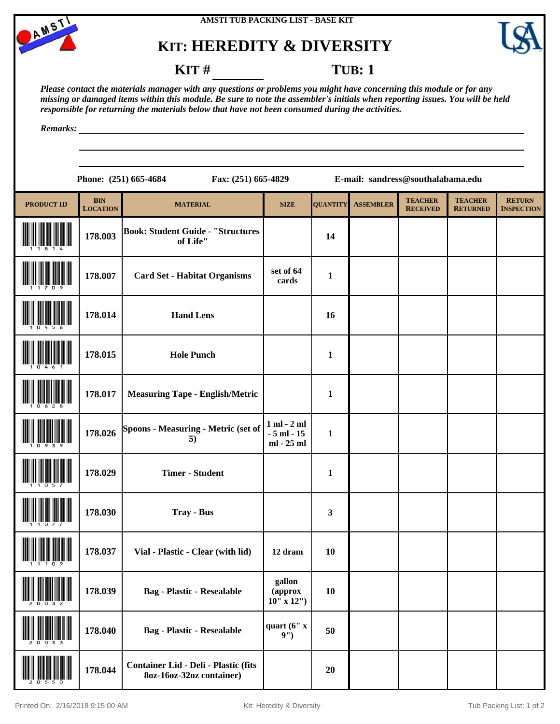

## **KIT: HEREDITY & DIVERSITY**



### **KIT** # **TUB**: 1

*Please contact the materials manager with any questions or problems you might have concerning this module or for any missing or damaged items within this module. Be sure to note the assembler's initials when reporting issues. You will be held responsible for returning the materials below that have not been consumed during the activities.*

*Remarks:*

**Phone: (251) 665-4684 Fax: (251) 665-4829 E-mail: sandress@southalabama.edu**

| <b>PRODUCT ID</b> | <b>BIN</b><br><b>LOCATION</b> | <b>MATERIAL</b>                                                  | <b>SIZE</b>                                    | <b>QUANTITY</b> | <b>ASSEMBLER</b> | <b>TEACHER</b><br><b>RECEIVED</b> | <b>TEACHER</b><br><b>RETURNED</b> | <b>RETURN</b><br><b>INSPECTION</b> |
|-------------------|-------------------------------|------------------------------------------------------------------|------------------------------------------------|-----------------|------------------|-----------------------------------|-----------------------------------|------------------------------------|
|                   | 178.003                       | <b>Book: Student Guide - "Structures</b><br>of Life"             |                                                | 14              |                  |                                   |                                   |                                    |
|                   | 178.007                       | <b>Card Set - Habitat Organisms</b>                              | set of 64<br>cards                             | $\mathbf{1}$    |                  |                                   |                                   |                                    |
|                   | 178.014                       | <b>Hand Lens</b>                                                 |                                                | 16              |                  |                                   |                                   |                                    |
|                   | 178.015                       | <b>Hole Punch</b>                                                |                                                | $\mathbf{1}$    |                  |                                   |                                   |                                    |
|                   | 178.017                       | <b>Measuring Tape - English/Metric</b>                           |                                                | $\mathbf{1}$    |                  |                                   |                                   |                                    |
|                   | 178.026                       | Spoons - Measuring - Metric (set of<br>5)                        | $1$ ml $- 2$ ml<br>$-5$ ml $-15$<br>ml - 25 ml | $\mathbf{1}$    |                  |                                   |                                   |                                    |
|                   | 178.029                       | <b>Timer - Student</b>                                           |                                                | $\mathbf{1}$    |                  |                                   |                                   |                                    |
|                   | 178.030                       | <b>Tray - Bus</b>                                                |                                                | $\mathbf{3}$    |                  |                                   |                                   |                                    |
|                   | 178.037                       | Vial - Plastic - Clear (with lid)                                | 12 dram                                        | <b>10</b>       |                  |                                   |                                   |                                    |
| 20032             | 178.039                       | <b>Bag - Plastic - Resealable</b>                                | gallon<br>(approx<br>$10''$ x $12'')$          | 10              |                  |                                   |                                   |                                    |
|                   | 178.040                       | <b>Bag - Plastic - Resealable</b>                                | quart (6" x<br>9'                              | 50              |                  |                                   |                                   |                                    |
|                   | 178.044                       | Container Lid - Deli - Plastic (fits<br>8oz-16oz-32oz container) |                                                | 20              |                  |                                   |                                   |                                    |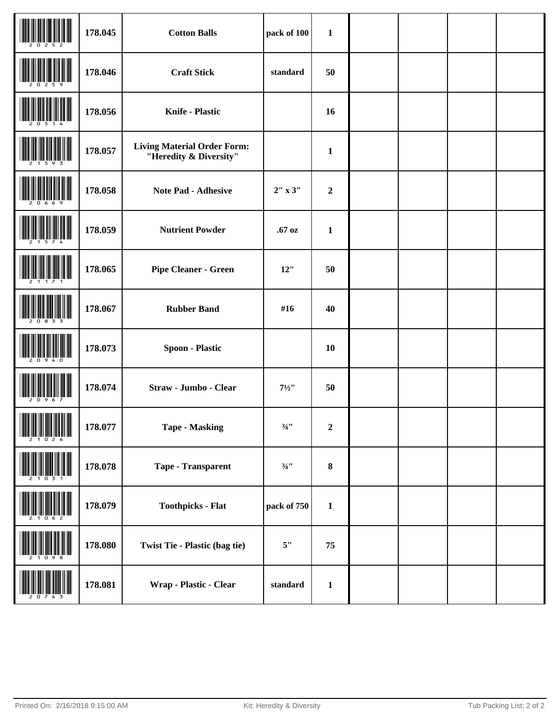|                                                                                                                      | 178.045 | <b>Cotton Balls</b>                                          | pack of 100         | $\mathbf{1}$     |  |  |
|----------------------------------------------------------------------------------------------------------------------|---------|--------------------------------------------------------------|---------------------|------------------|--|--|
|                                                                                                                      | 178.046 | <b>Craft Stick</b>                                           | standard            | 50               |  |  |
|                                                                                                                      | 178.056 | <b>Knife - Plastic</b>                                       |                     | 16               |  |  |
|                                                                                                                      | 178.057 | <b>Living Material Order Form:</b><br>"Heredity & Diversity" |                     | $\mathbf{1}$     |  |  |
| -6                                                                                                                   | 178.058 | <b>Note Pad - Adhesive</b>                                   | 2" x 3"             | $\boldsymbol{2}$ |  |  |
|                                                                                                                      | 178.059 | <b>Nutrient Powder</b>                                       | .67 oz              | $\mathbf{1}$     |  |  |
|                                                                                                                      | 178.065 | <b>Pipe Cleaner - Green</b>                                  | 12"                 | 50               |  |  |
|                                                                                                                      | 178.067 | <b>Rubber Band</b>                                           | #16                 | 40               |  |  |
|                                                                                                                      | 178.073 | <b>Spoon - Plastic</b>                                       |                     | 10               |  |  |
|                                                                                                                      | 178.074 | Straw - Jumbo - Clear                                        | $7\frac{1}{2}$ "    | 50               |  |  |
| <b>THE REAL PROPERTY OF A SET OF A SET OF A SET OF A SET OF A SET OF A SET OF A SET OF A SET OF A SET OF A SET O</b> | 178.077 | <b>Tape - Masking</b>                                        | $3/4$ <sup>11</sup> | $\boldsymbol{2}$ |  |  |
|                                                                                                                      | 178.078 | Tape - Transparent                                           | $\frac{3}{4}$ !!    | $\pmb{8}$        |  |  |
|                                                                                                                      | 178.079 | <b>Toothpicks - Flat</b>                                     | pack of 750         | $\mathbf{1}$     |  |  |
|                                                                                                                      | 178.080 | Twist Tie - Plastic (bag tie)                                | $5"$                | 75               |  |  |
|                                                                                                                      | 178.081 | Wrap - Plastic - Clear                                       | standard            | $\mathbf{1}$     |  |  |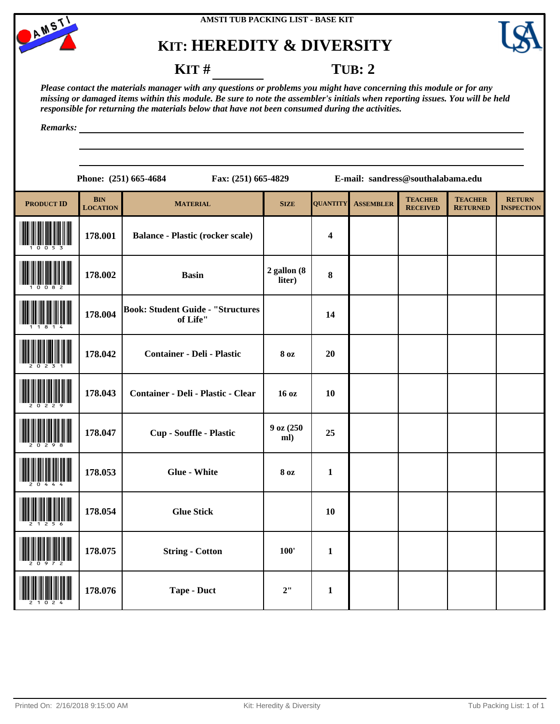

# **KIT: HEREDITY & DIVERSITY**



**KIT** # **TUB: 2** 

*Please contact the materials manager with any questions or problems you might have concerning this module or for any missing or damaged items within this module. Be sure to note the assembler's initials when reporting issues. You will be held responsible for returning the materials below that have not been consumed during the activities.*

*Remarks:*

| 51) 665-4684 |  |
|--------------|--|

**Phone: (251) 665-4684 Fax: (251) 665-4829 E-mail: sandress@southalabama.edu**

| <b>PRODUCT ID</b> | <b>BIN</b><br><b>LOCATION</b> | <b>MATERIAL</b>                                      | <b>SIZE</b>               | <b>QUANTITY</b>         | <b>ASSEMBLER</b> | <b>TEACHER</b><br><b>RECEIVED</b> | <b>TEACHER</b><br><b>RETURNED</b> | <b>RETURN</b><br><b>INSPECTION</b> |
|-------------------|-------------------------------|------------------------------------------------------|---------------------------|-------------------------|------------------|-----------------------------------|-----------------------------------|------------------------------------|
|                   | 178.001                       | <b>Balance - Plastic (rocker scale)</b>              |                           | $\overline{\mathbf{4}}$ |                  |                                   |                                   |                                    |
|                   | 178.002                       | <b>Basin</b>                                         | $2$ gallon $(8$<br>liter) | $\bf{8}$                |                  |                                   |                                   |                                    |
|                   | 178.004                       | <b>Book: Student Guide - "Structures</b><br>of Life" |                           | 14                      |                  |                                   |                                   |                                    |
|                   | 178.042                       | <b>Container - Deli - Plastic</b>                    | <b>8 oz</b>               | 20                      |                  |                                   |                                   |                                    |
|                   | 178.043                       | Container - Deli - Plastic - Clear                   | 16 oz                     | 10                      |                  |                                   |                                   |                                    |
|                   | 178.047                       | Cup - Souffle - Plastic                              | 9 oz (250<br>ml)          | 25                      |                  |                                   |                                   |                                    |
|                   | 178.053                       | <b>Glue - White</b>                                  | <b>8 oz</b>               | $\mathbf{1}$            |                  |                                   |                                   |                                    |
|                   | 178.054                       | <b>Glue Stick</b>                                    |                           | <b>10</b>               |                  |                                   |                                   |                                    |
|                   | 178.075                       | <b>String - Cotton</b>                               | 100'                      | $\mathbf{1}$            |                  |                                   |                                   |                                    |
|                   | 178.076                       | <b>Tape - Duct</b>                                   | 2"                        | $\mathbf{1}$            |                  |                                   |                                   |                                    |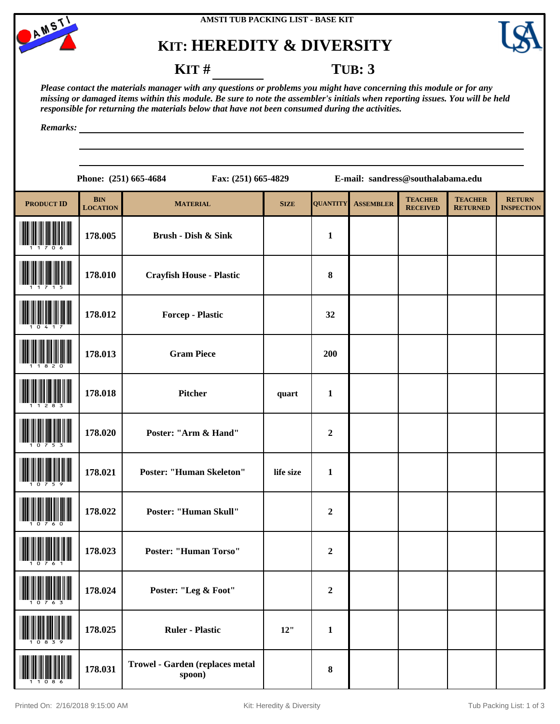

# **KIT: HEREDITY & DIVERSITY**



### **KIT # TUB: 3**

*Please contact the materials manager with any questions or problems you might have concerning this module or for any missing or damaged items within this module. Be sure to note the assembler's initials when reporting issues. You will be held responsible for returning the materials below that have not been consumed during the activities.*

*Remarks:*

**Phone: (251) 665-4684 Fax: (251) 665-4829 E-mail: sandress@southalabama.edu**

| <b>PRODUCT ID</b>                       | <b>BIN</b><br><b>LOCATION</b> | <b>MATERIAL</b>                           | <b>SIZE</b> | <b>QUANTITY</b>  | <b>ASSEMBLER</b> | <b>TEACHER</b><br><b>RECEIVED</b> | <b>TEACHER</b><br><b>RETURNED</b> | <b>RETURN</b><br><b>INSPECTION</b> |
|-----------------------------------------|-------------------------------|-------------------------------------------|-------------|------------------|------------------|-----------------------------------|-----------------------------------|------------------------------------|
|                                         | 178.005                       | Brush - Dish & Sink                       |             | $\mathbf{1}$     |                  |                                   |                                   |                                    |
|                                         | 178.010                       | <b>Crayfish House - Plastic</b>           |             | $\bf{8}$         |                  |                                   |                                   |                                    |
|                                         | 178.012                       | <b>Forcep - Plastic</b>                   |             | 32               |                  |                                   |                                   |                                    |
|                                         | 178.013                       | <b>Gram Piece</b>                         |             | 200              |                  |                                   |                                   |                                    |
|                                         | 178.018                       | Pitcher                                   | quart       | $\mathbf{1}$     |                  |                                   |                                   |                                    |
|                                         | 178.020                       | Poster: "Arm & Hand"                      |             | $\overline{2}$   |                  |                                   |                                   |                                    |
|                                         | 178.021                       | <b>Poster: "Human Skeleton"</b>           | life size   | $\mathbf{1}$     |                  |                                   |                                   |                                    |
|                                         | 178.022                       | Poster: "Human Skull"                     |             | $\mathbf 2$      |                  |                                   |                                   |                                    |
|                                         | 178.023                       | <b>Poster: "Human Torso"</b>              |             | $\boldsymbol{2}$ |                  |                                   |                                   |                                    |
| $1000$ and $1000$ and $1000$ and $1000$ | 178.024                       | Poster: "Leg & Foot"                      |             | $\boldsymbol{2}$ |                  |                                   |                                   |                                    |
|                                         | 178.025                       | <b>Ruler - Plastic</b>                    | 12"         | $\mathbf{1}$     |                  |                                   |                                   |                                    |
| 86                                      | 178.031                       | Trowel - Garden (replaces metal<br>spoon) |             | $\pmb{8}$        |                  |                                   |                                   |                                    |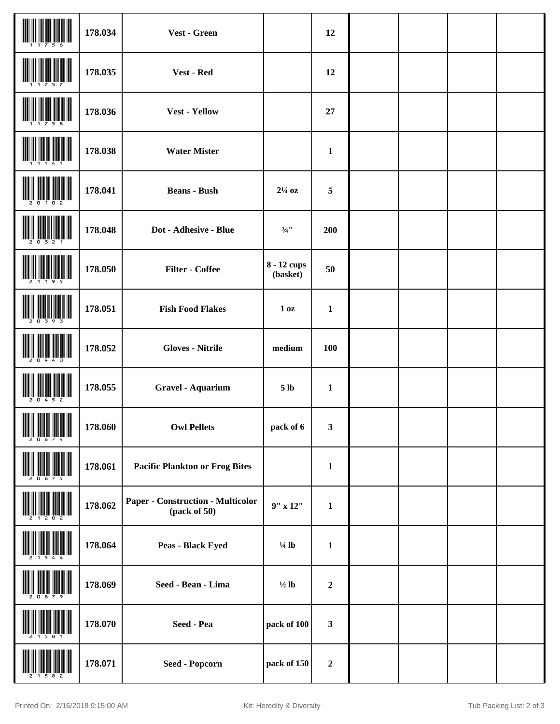|                                | 178.034 | Vest - Green                                      |                         | 12               |  |  |
|--------------------------------|---------|---------------------------------------------------|-------------------------|------------------|--|--|
|                                | 178.035 | Vest - Red                                        |                         | 12               |  |  |
|                                | 178.036 | <b>Vest - Yellow</b>                              |                         | 27               |  |  |
|                                | 178.038 | <b>Water Mister</b>                               |                         | $\mathbf{1}$     |  |  |
|                                | 178.041 | <b>Beans - Bush</b>                               | $2\frac{1}{4}$ oz       | 5                |  |  |
|                                | 178.048 | Dot - Adhesive - Blue                             | $3/4$ <sup>11</sup>     | 200              |  |  |
|                                | 178.050 | <b>Filter - Coffee</b>                            | 8 - 12 cups<br>(basket) | 50               |  |  |
|                                | 178.051 | <b>Fish Food Flakes</b>                           | 1 <sub>0</sub> z        | $\mathbf{1}$     |  |  |
|                                | 178.052 | <b>Gloves - Nitrile</b>                           | medium                  | 100              |  |  |
|                                | 178.055 | <b>Gravel - Aquarium</b>                          | 5 <sub>lb</sub>         | $\mathbf{1}$     |  |  |
| <b>THE REAL PROPERTY AND A</b> | 178.060 | <b>Owl Pellets</b>                                | pack of 6               | 3                |  |  |
|                                | 178.061 | <b>Pacific Plankton or Frog Bites</b>             |                         | $\mathbf{1}$     |  |  |
|                                | 178.062 | Paper - Construction - Multicolor<br>(pack of 50) | $9''$ x $12''$          | $\mathbf{1}$     |  |  |
|                                | 178.064 | Peas - Black Eyed                                 | $\frac{1}{4}$ lb        | $\mathbf{1}$     |  |  |
|                                | 178.069 | Seed - Bean - Lima                                | $\frac{1}{2}$ lb        | $\boldsymbol{2}$ |  |  |
|                                | 178.070 | Seed - Pea                                        | pack of 100             | $\mathbf{3}$     |  |  |
|                                | 178.071 | <b>Seed - Popcorn</b>                             | pack of 150             | $\boldsymbol{2}$ |  |  |